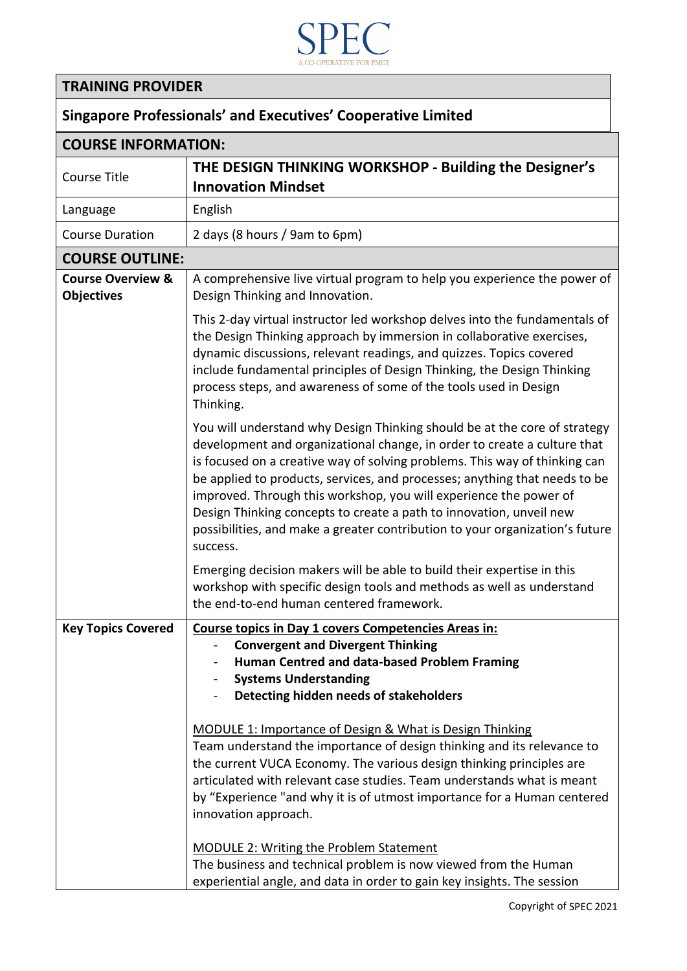

## **TRAINING PROVIDER**

## **Singapore Professionals' and Executives' Cooperative Limited**

| <b>COURSE INFORMATION:</b>                        |                                                                                                                                                                                                                                                                                                                                                                                                                                                                                                                                                           |  |
|---------------------------------------------------|-----------------------------------------------------------------------------------------------------------------------------------------------------------------------------------------------------------------------------------------------------------------------------------------------------------------------------------------------------------------------------------------------------------------------------------------------------------------------------------------------------------------------------------------------------------|--|
| <b>Course Title</b>                               | THE DESIGN THINKING WORKSHOP - Building the Designer's<br><b>Innovation Mindset</b>                                                                                                                                                                                                                                                                                                                                                                                                                                                                       |  |
| Language                                          | English                                                                                                                                                                                                                                                                                                                                                                                                                                                                                                                                                   |  |
| <b>Course Duration</b>                            | 2 days (8 hours / 9am to 6pm)                                                                                                                                                                                                                                                                                                                                                                                                                                                                                                                             |  |
| <b>COURSE OUTLINE:</b>                            |                                                                                                                                                                                                                                                                                                                                                                                                                                                                                                                                                           |  |
| <b>Course Overview &amp;</b><br><b>Objectives</b> | A comprehensive live virtual program to help you experience the power of<br>Design Thinking and Innovation.                                                                                                                                                                                                                                                                                                                                                                                                                                               |  |
|                                                   | This 2-day virtual instructor led workshop delves into the fundamentals of<br>the Design Thinking approach by immersion in collaborative exercises,<br>dynamic discussions, relevant readings, and quizzes. Topics covered<br>include fundamental principles of Design Thinking, the Design Thinking<br>process steps, and awareness of some of the tools used in Design<br>Thinking.                                                                                                                                                                     |  |
|                                                   | You will understand why Design Thinking should be at the core of strategy<br>development and organizational change, in order to create a culture that<br>is focused on a creative way of solving problems. This way of thinking can<br>be applied to products, services, and processes; anything that needs to be<br>improved. Through this workshop, you will experience the power of<br>Design Thinking concepts to create a path to innovation, unveil new<br>possibilities, and make a greater contribution to your organization's future<br>success. |  |
|                                                   | Emerging decision makers will be able to build their expertise in this<br>workshop with specific design tools and methods as well as understand<br>the end-to-end human centered framework.                                                                                                                                                                                                                                                                                                                                                               |  |
| <b>Key Topics Covered</b>                         | Course topics in Day 1 covers Competencies Areas in:<br><b>Convergent and Divergent Thinking</b><br>Human Centred and data-based Problem Framing<br><b>Systems Understanding</b><br>Detecting hidden needs of stakeholders<br>MODULE 1: Importance of Design & What is Design Thinking                                                                                                                                                                                                                                                                    |  |
|                                                   | Team understand the importance of design thinking and its relevance to<br>the current VUCA Economy. The various design thinking principles are<br>articulated with relevant case studies. Team understands what is meant<br>by "Experience "and why it is of utmost importance for a Human centered<br>innovation approach.                                                                                                                                                                                                                               |  |
|                                                   | <b>MODULE 2: Writing the Problem Statement</b><br>The business and technical problem is now viewed from the Human<br>experiential angle, and data in order to gain key insights. The session                                                                                                                                                                                                                                                                                                                                                              |  |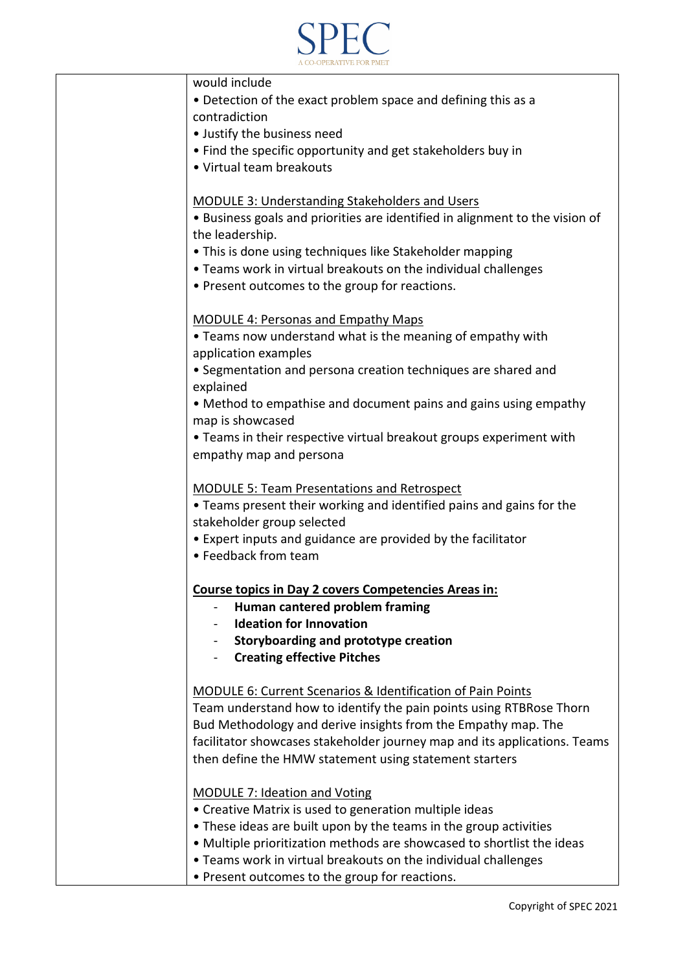

| would include                                                                                                                        |
|--------------------------------------------------------------------------------------------------------------------------------------|
| • Detection of the exact problem space and defining this as a                                                                        |
| contradiction                                                                                                                        |
| • Justify the business need                                                                                                          |
| • Find the specific opportunity and get stakeholders buy in<br>• Virtual team breakouts                                              |
|                                                                                                                                      |
| <b>MODULE 3: Understanding Stakeholders and Users</b>                                                                                |
| • Business goals and priorities are identified in alignment to the vision of                                                         |
| the leadership.                                                                                                                      |
| . This is done using techniques like Stakeholder mapping                                                                             |
| • Teams work in virtual breakouts on the individual challenges                                                                       |
| • Present outcomes to the group for reactions.                                                                                       |
|                                                                                                                                      |
| <b>MODULE 4: Personas and Empathy Maps</b>                                                                                           |
| . Teams now understand what is the meaning of empathy with                                                                           |
| application examples                                                                                                                 |
| • Segmentation and persona creation techniques are shared and                                                                        |
| explained                                                                                                                            |
| • Method to empathise and document pains and gains using empathy                                                                     |
| map is showcased                                                                                                                     |
| • Teams in their respective virtual breakout groups experiment with                                                                  |
| empathy map and persona                                                                                                              |
| <b>MODULE 5: Team Presentations and Retrospect</b>                                                                                   |
| • Teams present their working and identified pains and gains for the                                                                 |
| stakeholder group selected                                                                                                           |
| • Expert inputs and guidance are provided by the facilitator                                                                         |
| • Feedback from team                                                                                                                 |
|                                                                                                                                      |
| <b>Course topics in Day 2 covers Competencies Areas in:</b>                                                                          |
| Human cantered problem framing                                                                                                       |
| <b>Ideation for Innovation</b>                                                                                                       |
| Storyboarding and prototype creation                                                                                                 |
| <b>Creating effective Pitches</b>                                                                                                    |
|                                                                                                                                      |
| <b>MODULE 6: Current Scenarios &amp; Identification of Pain Points</b>                                                               |
| Team understand how to identify the pain points using RTBRose Thorn<br>Bud Methodology and derive insights from the Empathy map. The |
| facilitator showcases stakeholder journey map and its applications. Teams                                                            |
| then define the HMW statement using statement starters                                                                               |
|                                                                                                                                      |
| <b>MODULE 7: Ideation and Voting</b>                                                                                                 |
| • Creative Matrix is used to generation multiple ideas                                                                               |
| • These ideas are built upon by the teams in the group activities                                                                    |
| • Multiple prioritization methods are showcased to shortlist the ideas                                                               |
| . Teams work in virtual breakouts on the individual challenges                                                                       |
| • Present outcomes to the group for reactions.                                                                                       |